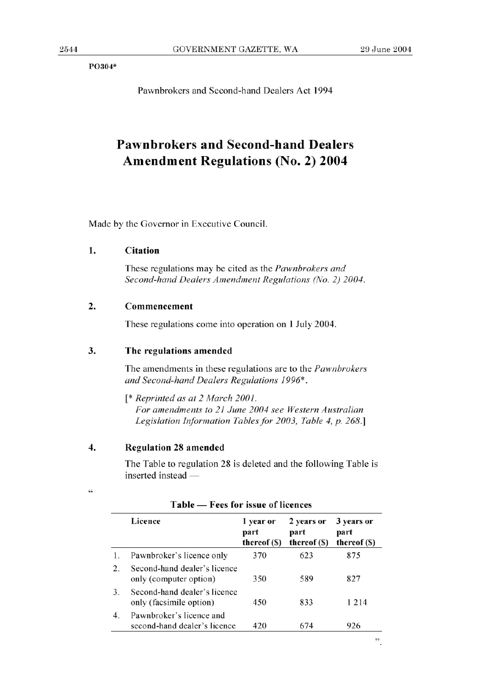P0304\*

Pawnbrokers and Second-hand Dealers Act 1994

# **Pawnbrokers and Second-hand Dealers Amendment Regulations (No. 2) 2004**

Made by the Governor in Executive Council.

#### **1. Citation**

These regulations may be cited as the *Pawnbrokers and Second-hand Dealers Amendment Regulations (No. 2) 2004.* 

# **2. Commencement**

These regulations come into operation on 1 July 2004.

#### 3. **The regulations amended**

The amendments in these regulations are to the *Pawnbrokers and Second-hand Dealers Regulations 1996\*.* 

*[\* Reprinted as at 2 March 2001. For amendments to 21 June 2004 see Western Australian Legislation Information Tables for 2003, Table 4, p. 268.]* 

# **4. Regulation 28 amended**

 $\zeta \zeta$ 

The Table to regulation 28 is deleted and the following Table is  $inserted instead$   $-$ 

|                  | Licence                                                  | 1 year or<br>part<br>thereof (\$) | 2 years or<br>part<br>thereof (\$) | 3 years or<br>part<br>thereof (S) |
|------------------|----------------------------------------------------------|-----------------------------------|------------------------------------|-----------------------------------|
| 1.               | Pawnbroker's licence only                                | 370                               | 623                                | 875                               |
| $\mathfrak{2}$ . | Second-hand dealer's licence<br>only (computer option)   | 350                               | 589                                | 827                               |
| 3.               | Second-hand dealer's licence<br>only (facsimile option)  | 450                               | 833                                | 1 2 1 4                           |
| 4.               | Pawnbroker's licence and<br>second-hand dealer's licence | 420                               | 674                                | 926                               |

# **Table** - **Fees for issue of licences**